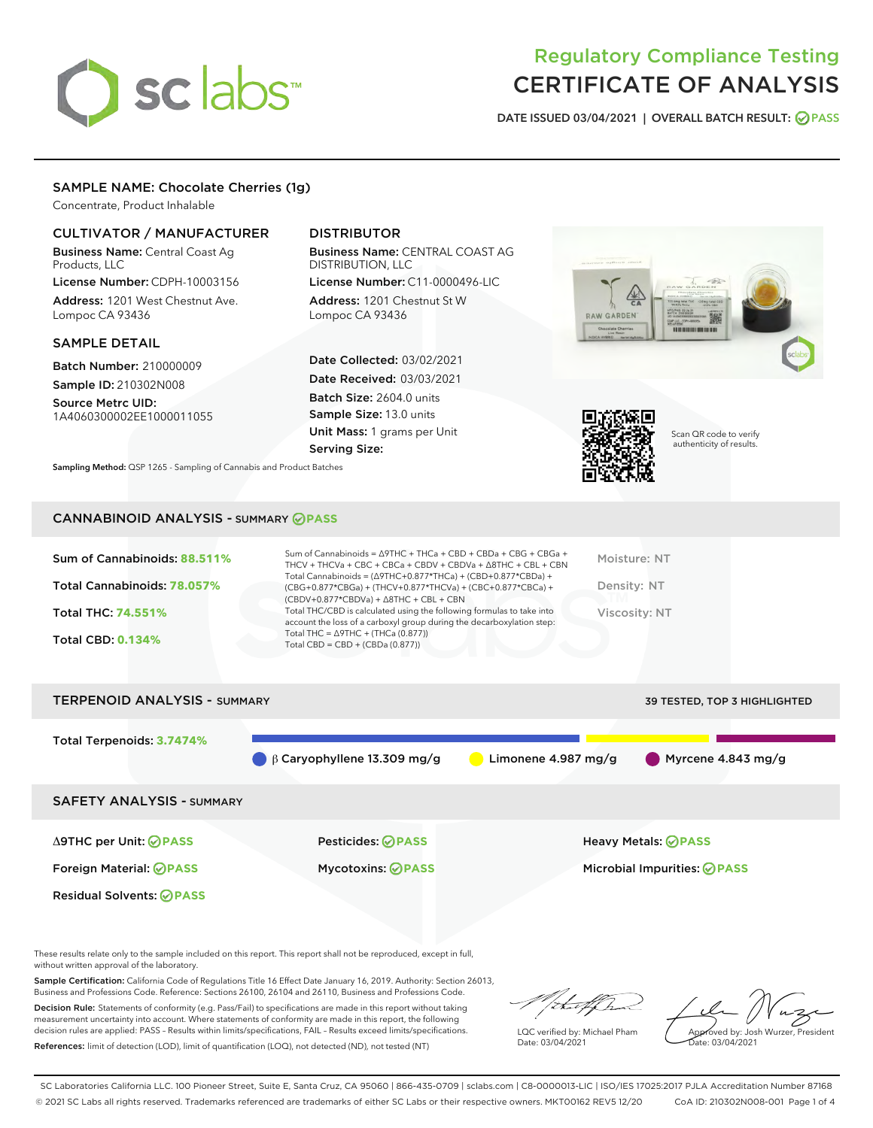# sclabs

# Regulatory Compliance Testing CERTIFICATE OF ANALYSIS

DATE ISSUED 03/04/2021 | OVERALL BATCH RESULT: @ PASS

# SAMPLE NAME: Chocolate Cherries (1g)

Concentrate, Product Inhalable

# CULTIVATOR / MANUFACTURER

Business Name: Central Coast Ag Products, LLC

License Number: CDPH-10003156 Address: 1201 West Chestnut Ave. Lompoc CA 93436

#### SAMPLE DETAIL

Batch Number: 210000009 Sample ID: 210302N008

Source Metrc UID: 1A4060300002EE1000011055

# DISTRIBUTOR

Business Name: CENTRAL COAST AG DISTRIBUTION, LLC

License Number: C11-0000496-LIC Address: 1201 Chestnut St W Lompoc CA 93436

Date Collected: 03/02/2021 Date Received: 03/03/2021 Batch Size: 2604.0 units Sample Size: 13.0 units Unit Mass: 1 grams per Unit Serving Size:

Sampling Method: QSP 1265 - Sampling of Cannabis and Product Batches





Scan QR code to verify authenticity of results.

# CANNABINOID ANALYSIS - SUMMARY **PASS**

| Sum of Cannabinoids: 88.511%<br>Total Cannabinoids: 78.057%<br><b>Total THC: 74.551%</b><br><b>Total CBD: 0.134%</b> | Sum of Cannabinoids = $\triangle$ 9THC + THCa + CBD + CBDa + CBG + CBGa +<br>THCV + THCVa + CBC + CBCa + CBDV + CBDVa + $\Delta$ 8THC + CBL + CBN<br>Total Cannabinoids = $(\Delta$ 9THC+0.877*THCa) + (CBD+0.877*CBDa) +<br>$(CBG+0.877*CBGa) + (THCV+0.877*THCVa) + (CBC+0.877*CBCa) +$<br>$(CBDV+0.877*CBDVa) + \Delta 8THC + CBL + CBN$<br>Total THC/CBD is calculated using the following formulas to take into<br>account the loss of a carboxyl group during the decarboxylation step:<br>Total THC = $\triangle$ 9THC + (THCa (0.877))<br>Total CBD = $CBD + (CBDa (0.877))$ | Moisture: NT<br>Density: NT<br><b>Viscosity: NT</b> |
|----------------------------------------------------------------------------------------------------------------------|--------------------------------------------------------------------------------------------------------------------------------------------------------------------------------------------------------------------------------------------------------------------------------------------------------------------------------------------------------------------------------------------------------------------------------------------------------------------------------------------------------------------------------------------------------------------------------------|-----------------------------------------------------|
| <b>TERPENOID ANALYSIS - SUMMARY</b>                                                                                  |                                                                                                                                                                                                                                                                                                                                                                                                                                                                                                                                                                                      | 39 TESTED. TOP 3 HIGHLIGHTED                        |

Total Terpenoids: **3.7474%** β Caryophyllene 13.309 mg/g Limonene 4.987 mg/g Myrcene 4.843 mg/g SAFETY ANALYSIS - SUMMARY Δ9THC per Unit: **PASS** Pesticides: **PASS** Heavy Metals: **PASS** Foreign Material: **PASS** Mycotoxins: **PASS** Microbial Impurities: **PASS** Residual Solvents: **PASS** 

These results relate only to the sample included on this report. This report shall not be reproduced, except in full, without written approval of the laboratory.

Sample Certification: California Code of Regulations Title 16 Effect Date January 16, 2019. Authority: Section 26013, Business and Professions Code. Reference: Sections 26100, 26104 and 26110, Business and Professions Code.

Decision Rule: Statements of conformity (e.g. Pass/Fail) to specifications are made in this report without taking measurement uncertainty into account. Where statements of conformity are made in this report, the following decision rules are applied: PASS – Results within limits/specifications, FAIL – Results exceed limits/specifications. References: limit of detection (LOD), limit of quantification (LOQ), not detected (ND), not tested (NT)

that fCh

LQC verified by: Michael Pham Date: 03/04/2021

Approved by: Josh Wurzer, President ate: 03/04/2021

SC Laboratories California LLC. 100 Pioneer Street, Suite E, Santa Cruz, CA 95060 | 866-435-0709 | sclabs.com | C8-0000013-LIC | ISO/IES 17025:2017 PJLA Accreditation Number 87168 © 2021 SC Labs all rights reserved. Trademarks referenced are trademarks of either SC Labs or their respective owners. MKT00162 REV5 12/20 CoA ID: 210302N008-001 Page 1 of 4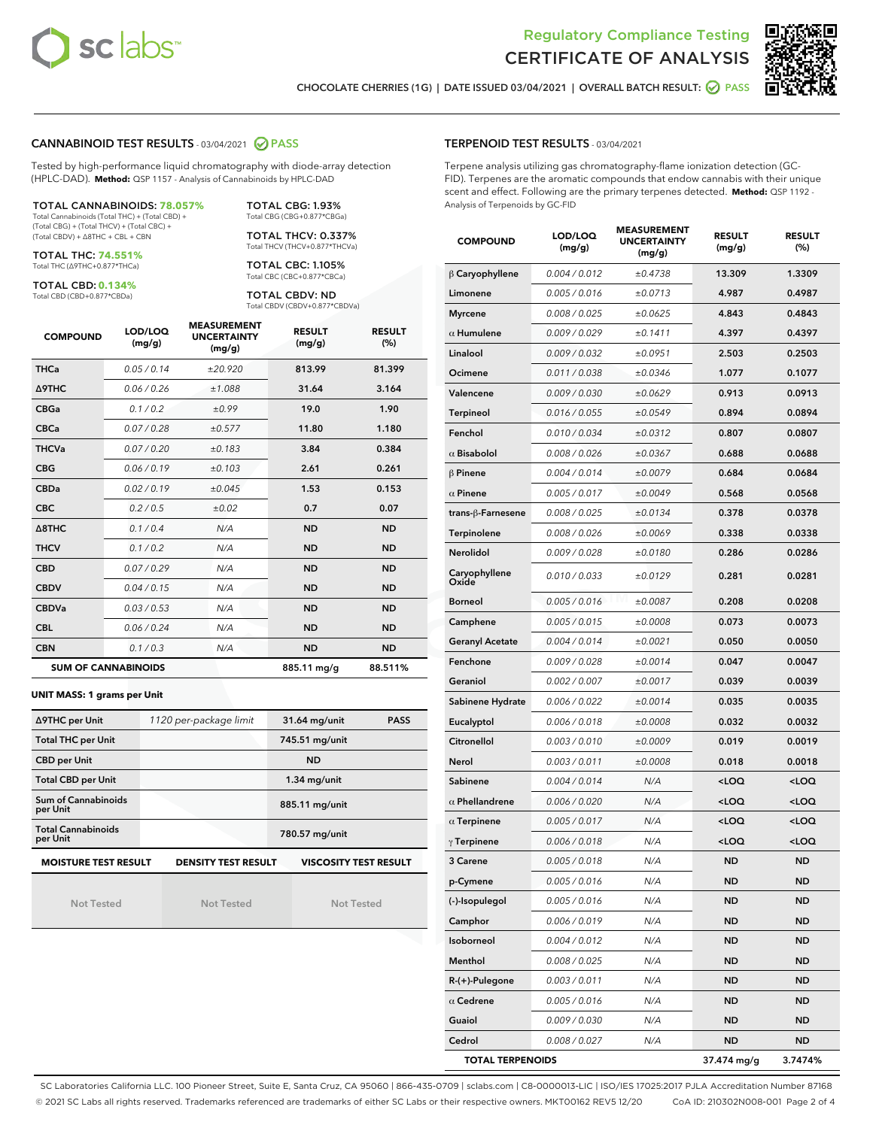



CHOCOLATE CHERRIES (1G) | DATE ISSUED 03/04/2021 | OVERALL BATCH RESULT: ● PASS

## CANNABINOID TEST RESULTS - 03/04/2021 2 PASS

Tested by high-performance liquid chromatography with diode-array detection (HPLC-DAD). **Method:** QSP 1157 - Analysis of Cannabinoids by HPLC-DAD

TOTAL CANNABINOIDS: **78.057%** Total Cannabinoids (Total THC) + (Total CBD) +

(Total CBG) + (Total THCV) + (Total CBC) + (Total CBDV) + ∆8THC + CBL + CBN

TOTAL THC: **74.551%** Total THC (∆9THC+0.877\*THCa)

TOTAL CBD: **0.134%**

Total CBD (CBD+0.877\*CBDa)

TOTAL CBG: 1.93% Total CBG (CBG+0.877\*CBGa) TOTAL THCV: 0.337% Total THCV (THCV+0.877\*THCVa)

TOTAL CBC: 1.105% Total CBC (CBC+0.877\*CBCa)

TOTAL CBDV: ND Total CBDV (CBDV+0.877\*CBDVa)

| <b>COMPOUND</b> | LOD/LOQ<br>(mg/g)          | <b>MEASUREMENT</b><br><b>UNCERTAINTY</b><br>(mg/g) | <b>RESULT</b><br>(mg/g) | <b>RESULT</b><br>(%) |
|-----------------|----------------------------|----------------------------------------------------|-------------------------|----------------------|
| <b>THCa</b>     | 0.05/0.14                  | ±20.920                                            | 813.99                  | 81.399               |
| <b>A9THC</b>    | 0.06 / 0.26                | ±1.088                                             | 31.64                   | 3.164                |
| <b>CBGa</b>     | 0.1 / 0.2                  | ±0.99                                              | 19.0                    | 1.90                 |
| <b>CBCa</b>     | 0.07/0.28                  | ±0.577                                             | 11.80                   | 1.180                |
| <b>THCVa</b>    | 0.07/0.20                  | ±0.183                                             | 3.84                    | 0.384                |
| <b>CBG</b>      | 0.06/0.19                  | ±0.103                                             | 2.61                    | 0.261                |
| <b>CBDa</b>     | 0.02/0.19                  | ±0.045                                             | 1.53                    | 0.153                |
| <b>CBC</b>      | 0.2 / 0.5                  | ±0.02                                              | 0.7                     | 0.07                 |
| A8THC           | 0.1/0.4                    | N/A                                                | <b>ND</b>               | <b>ND</b>            |
| <b>THCV</b>     | 0.1/0.2                    | N/A                                                | <b>ND</b>               | <b>ND</b>            |
| <b>CBD</b>      | 0.07/0.29                  | N/A                                                | <b>ND</b>               | <b>ND</b>            |
| <b>CBDV</b>     | 0.04 / 0.15                | N/A                                                | <b>ND</b>               | <b>ND</b>            |
| <b>CBDVa</b>    | 0.03/0.53                  | N/A                                                | <b>ND</b>               | <b>ND</b>            |
| <b>CBL</b>      | 0.06 / 0.24                | N/A                                                | <b>ND</b>               | <b>ND</b>            |
| <b>CBN</b>      | 0.1/0.3                    | N/A                                                | <b>ND</b>               | <b>ND</b>            |
|                 | <b>SUM OF CANNABINOIDS</b> |                                                    | 885.11 mg/g             | 88.511%              |

#### **UNIT MASS: 1 grams per Unit**

| ∆9THC per Unit                         | 1120 per-package limit     | <b>PASS</b><br>31.64 mg/unit |  |
|----------------------------------------|----------------------------|------------------------------|--|
| <b>Total THC per Unit</b>              |                            | 745.51 mg/unit               |  |
| <b>CBD per Unit</b>                    |                            | <b>ND</b>                    |  |
| <b>Total CBD per Unit</b>              |                            | $1.34$ mg/unit               |  |
| <b>Sum of Cannabinoids</b><br>per Unit |                            | 885.11 mg/unit               |  |
| <b>Total Cannabinoids</b><br>per Unit  |                            | 780.57 mg/unit               |  |
| <b>MOISTURE TEST RESULT</b>            | <b>DENSITY TEST RESULT</b> | <b>VISCOSITY TEST RESULT</b> |  |

Not Tested

Not Tested

Not Tested

#### TERPENOID TEST RESULTS - 03/04/2021

Terpene analysis utilizing gas chromatography-flame ionization detection (GC-FID). Terpenes are the aromatic compounds that endow cannabis with their unique scent and effect. Following are the primary terpenes detected. **Method:** QSP 1192 - Analysis of Terpenoids by GC-FID

| <b>COMPOUND</b>         | LOD/LOQ<br>(mg/g) | <b>MEASUREMENT</b><br><b>UNCERTAINTY</b><br>(mg/g) | <b>RESULT</b><br>(mg/g)                         | <b>RESULT</b><br>(%) |
|-------------------------|-------------------|----------------------------------------------------|-------------------------------------------------|----------------------|
| $\beta$ Caryophyllene   | 0.004 / 0.012     | ±0.4738                                            | 13.309                                          | 1.3309               |
| Limonene                | 0.005 / 0.016     | ±0.0713                                            | 4.987                                           | 0.4987               |
| <b>Myrcene</b>          | 0.008 / 0.025     | ±0.0625                                            | 4.843                                           | 0.4843               |
| $\alpha$ Humulene       | 0.009 / 0.029     | ±0.1411                                            | 4.397                                           | 0.4397               |
| Linalool                | 0.009 / 0.032     | ±0.0951                                            | 2.503                                           | 0.2503               |
| Ocimene                 | 0.011 / 0.038     | ±0.0346                                            | 1.077                                           | 0.1077               |
| Valencene               | 0.009 / 0.030     | ±0.0629                                            | 0.913                                           | 0.0913               |
| Terpineol               | 0.016 / 0.055     | ±0.0549                                            | 0.894                                           | 0.0894               |
| Fenchol                 | 0.010 / 0.034     | ±0.0312                                            | 0.807                                           | 0.0807               |
| $\alpha$ Bisabolol      | 0.008 / 0.026     | ±0.0367                                            | 0.688                                           | 0.0688               |
| $\beta$ Pinene          | 0.004 / 0.014     | ±0.0079                                            | 0.684                                           | 0.0684               |
| $\alpha$ Pinene         | 0.005 / 0.017     | ±0.0049                                            | 0.568                                           | 0.0568               |
| trans-ß-Farnesene       | 0.008 / 0.025     | ±0.0134                                            | 0.378                                           | 0.0378               |
| Terpinolene             | 0.008 / 0.026     | ±0.0069                                            | 0.338                                           | 0.0338               |
| Nerolidol               | 0.009 / 0.028     | ±0.0180                                            | 0.286                                           | 0.0286               |
| Caryophyllene<br>Oxide  | 0.010 / 0.033     | ±0.0129                                            | 0.281                                           | 0.0281               |
| <b>Borneol</b>          | 0.005 / 0.016     | ±0.0087                                            | 0.208                                           | 0.0208               |
| Camphene                | 0.005 / 0.015     | ±0.0008                                            | 0.073                                           | 0.0073               |
| <b>Geranyl Acetate</b>  | 0.004 / 0.014     | ±0.0021                                            | 0.050                                           | 0.0050               |
| Fenchone                | 0.009 / 0.028     | ±0.0014                                            | 0.047                                           | 0.0047               |
| Geraniol                | 0.002 / 0.007     | ±0.0017                                            | 0.039                                           | 0.0039               |
| Sabinene Hydrate        | 0.006 / 0.022     | ±0.0014                                            | 0.035                                           | 0.0035               |
| Eucalyptol              | 0.006 / 0.018     | ±0.0008                                            | 0.032                                           | 0.0032               |
| Citronellol             | 0.003 / 0.010     | ±0.0009                                            | 0.019                                           | 0.0019               |
| Nerol                   | 0.003 / 0.011     | ±0.0008                                            | 0.018                                           | 0.0018               |
| Sabinene                | 0.004 / 0.014     | N/A                                                | <loq< th=""><th><loq< th=""></loq<></th></loq<> | <loq< th=""></loq<>  |
| $\alpha$ Phellandrene   | 0.006 / 0.020     | N/A                                                | <loq< th=""><th><loq< th=""></loq<></th></loq<> | <loq< th=""></loq<>  |
| $\alpha$ Terpinene      | 0.005 / 0.017     | N/A                                                | <loq< th=""><th><loq< th=""></loq<></th></loq<> | <loq< th=""></loq<>  |
| $\gamma$ Terpinene      | 0.006 / 0.018     | N/A                                                | <loq< th=""><th><loq< th=""></loq<></th></loq<> | <loq< th=""></loq<>  |
| 3 Carene                | 0.005 / 0.018     | N/A                                                | ND                                              | ND                   |
| p-Cymene                | 0.005 / 0.016     | N/A                                                | ND                                              | ND                   |
| (-)-Isopulegol          | 0.005 / 0.016     | N/A                                                | ND                                              | ND                   |
| Camphor                 | 0.006 / 0.019     | N/A                                                | ND                                              | ND                   |
| Isoborneol              | 0.004 / 0.012     | N/A                                                | ND                                              | ND                   |
| Menthol                 | 0.008 / 0.025     | N/A                                                | ND                                              | ND                   |
| R-(+)-Pulegone          | 0.003 / 0.011     | N/A                                                | ND                                              | ND                   |
| $\alpha$ Cedrene        | 0.005 / 0.016     | N/A                                                | ND                                              | ND                   |
| Guaiol                  | 0.009 / 0.030     | N/A                                                | <b>ND</b>                                       | <b>ND</b>            |
| Cedrol                  | 0.008 / 0.027     | N/A                                                | ND                                              | ND                   |
| <b>TOTAL TERPENOIDS</b> |                   |                                                    | 37.474 mg/g                                     | 3.7474%              |

SC Laboratories California LLC. 100 Pioneer Street, Suite E, Santa Cruz, CA 95060 | 866-435-0709 | sclabs.com | C8-0000013-LIC | ISO/IES 17025:2017 PJLA Accreditation Number 87168 © 2021 SC Labs all rights reserved. Trademarks referenced are trademarks of either SC Labs or their respective owners. MKT00162 REV5 12/20 CoA ID: 210302N008-001 Page 2 of 4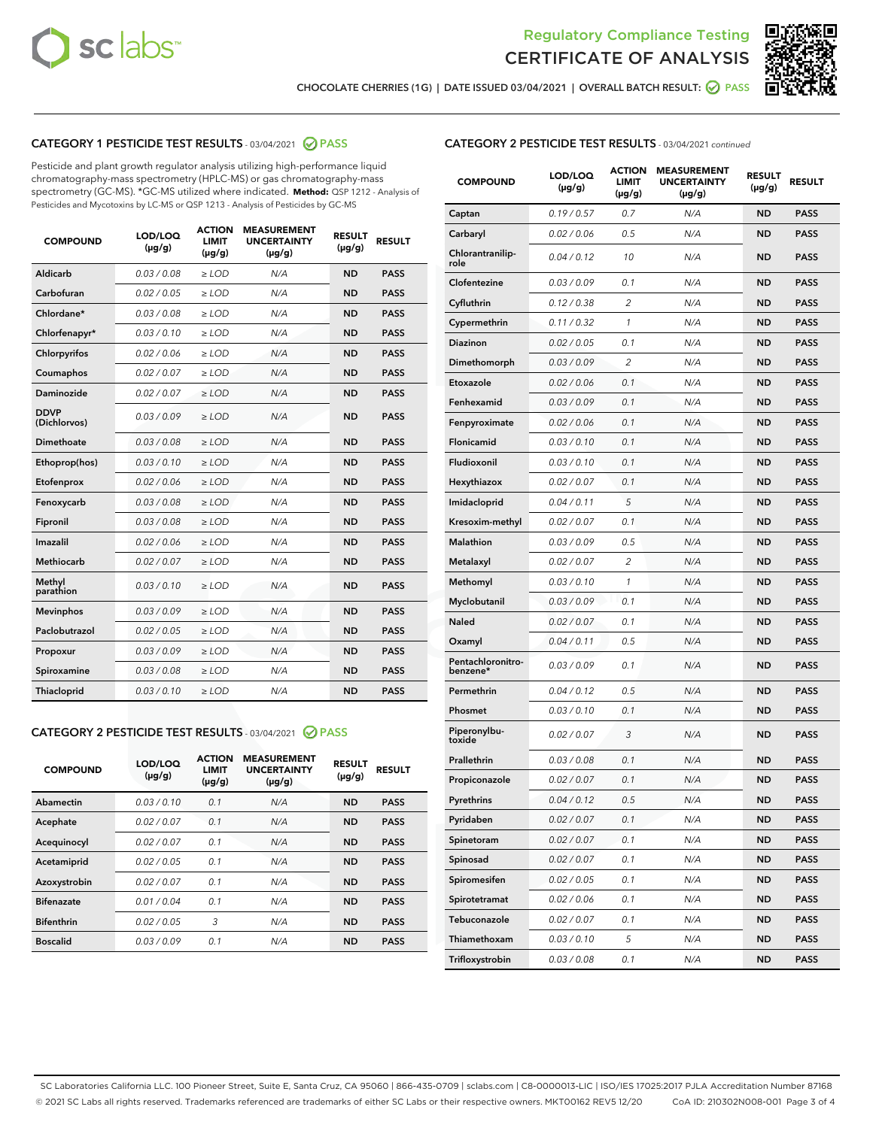



CHOCOLATE CHERRIES (1G) | DATE ISSUED 03/04/2021 | OVERALL BATCH RESULT: ☑ PASS

# CATEGORY 1 PESTICIDE TEST RESULTS - 03/04/2021 2 PASS

Pesticide and plant growth regulator analysis utilizing high-performance liquid chromatography-mass spectrometry (HPLC-MS) or gas chromatography-mass spectrometry (GC-MS). \*GC-MS utilized where indicated. **Method:** QSP 1212 - Analysis of Pesticides and Mycotoxins by LC-MS or QSP 1213 - Analysis of Pesticides by GC-MS

| <b>COMPOUND</b>             | LOD/LOQ<br>$(\mu g/g)$ | <b>ACTION</b><br>LIMIT<br>$(\mu g/g)$ | <b>MEASUREMENT</b><br><b>UNCERTAINTY</b><br>$(\mu g/g)$ | <b>RESULT</b><br>$(\mu g/g)$ | <b>RESULT</b> |
|-----------------------------|------------------------|---------------------------------------|---------------------------------------------------------|------------------------------|---------------|
| Aldicarb                    | 0.03 / 0.08            | $\ge$ LOD                             | N/A                                                     | <b>ND</b>                    | <b>PASS</b>   |
| Carbofuran                  | 0.02 / 0.05            | $\ge$ LOD                             | N/A                                                     | <b>ND</b>                    | <b>PASS</b>   |
| Chlordane*                  | 0.03 / 0.08            | $\ge$ LOD                             | N/A                                                     | <b>ND</b>                    | <b>PASS</b>   |
| Chlorfenapyr*               | 0.03/0.10              | $\ge$ LOD                             | N/A                                                     | <b>ND</b>                    | <b>PASS</b>   |
| Chlorpyrifos                | 0.02 / 0.06            | $\ge$ LOD                             | N/A                                                     | <b>ND</b>                    | <b>PASS</b>   |
| Coumaphos                   | 0.02 / 0.07            | $\ge$ LOD                             | N/A                                                     | <b>ND</b>                    | <b>PASS</b>   |
| Daminozide                  | 0.02/0.07              | $\ge$ LOD                             | N/A                                                     | <b>ND</b>                    | <b>PASS</b>   |
| <b>DDVP</b><br>(Dichlorvos) | 0.03/0.09              | $\ge$ LOD                             | N/A                                                     | <b>ND</b>                    | <b>PASS</b>   |
| Dimethoate                  | 0.03 / 0.08            | $>$ LOD                               | N/A                                                     | <b>ND</b>                    | <b>PASS</b>   |
| Ethoprop(hos)               | 0.03/0.10              | $\ge$ LOD                             | N/A                                                     | <b>ND</b>                    | <b>PASS</b>   |
| Etofenprox                  | 0.02/0.06              | $>$ LOD                               | N/A                                                     | <b>ND</b>                    | <b>PASS</b>   |
| Fenoxycarb                  | 0.03/0.08              | $>$ LOD                               | N/A                                                     | <b>ND</b>                    | <b>PASS</b>   |
| Fipronil                    | 0.03 / 0.08            | $>$ LOD                               | N/A                                                     | <b>ND</b>                    | <b>PASS</b>   |
| Imazalil                    | 0.02/0.06              | $>$ LOD                               | N/A                                                     | <b>ND</b>                    | <b>PASS</b>   |
| <b>Methiocarb</b>           | 0.02 / 0.07            | $\ge$ LOD                             | N/A                                                     | <b>ND</b>                    | <b>PASS</b>   |
| Methyl<br>parathion         | 0.03/0.10              | $\ge$ LOD                             | N/A                                                     | <b>ND</b>                    | <b>PASS</b>   |
| <b>Mevinphos</b>            | 0.03/0.09              | $\ge$ LOD                             | N/A                                                     | <b>ND</b>                    | <b>PASS</b>   |
| Paclobutrazol               | 0.02 / 0.05            | $\ge$ LOD                             | N/A                                                     | <b>ND</b>                    | <b>PASS</b>   |
| Propoxur                    | 0.03 / 0.09            | $\ge$ LOD                             | N/A                                                     | <b>ND</b>                    | <b>PASS</b>   |
| Spiroxamine                 | 0.03 / 0.08            | $\ge$ LOD                             | N/A                                                     | <b>ND</b>                    | <b>PASS</b>   |
| Thiacloprid                 | 0.03/0.10              | $\ge$ LOD                             | N/A                                                     | <b>ND</b>                    | <b>PASS</b>   |

#### CATEGORY 2 PESTICIDE TEST RESULTS - 03/04/2021 @ PASS

| <b>COMPOUND</b>   | LOD/LOQ<br>$(\mu g/g)$ | <b>ACTION</b><br><b>LIMIT</b><br>$(\mu g/g)$ | <b>MEASUREMENT</b><br><b>UNCERTAINTY</b><br>$(\mu g/g)$ | <b>RESULT</b><br>$(\mu g/g)$ | <b>RESULT</b> |
|-------------------|------------------------|----------------------------------------------|---------------------------------------------------------|------------------------------|---------------|
| Abamectin         | 0.03/0.10              | 0.1                                          | N/A                                                     | <b>ND</b>                    | <b>PASS</b>   |
| Acephate          | 0.02/0.07              | 0.1                                          | N/A                                                     | <b>ND</b>                    | <b>PASS</b>   |
| Acequinocyl       | 0.02/0.07              | 0.1                                          | N/A                                                     | <b>ND</b>                    | <b>PASS</b>   |
| Acetamiprid       | 0.02/0.05              | 0.1                                          | N/A                                                     | <b>ND</b>                    | <b>PASS</b>   |
| Azoxystrobin      | 0.02/0.07              | 0.1                                          | N/A                                                     | <b>ND</b>                    | <b>PASS</b>   |
| <b>Bifenazate</b> | 0.01/0.04              | 0.1                                          | N/A                                                     | <b>ND</b>                    | <b>PASS</b>   |
| <b>Bifenthrin</b> | 0.02/0.05              | 3                                            | N/A                                                     | <b>ND</b>                    | <b>PASS</b>   |
| <b>Boscalid</b>   | 0.03/0.09              | 0.1                                          | N/A                                                     | <b>ND</b>                    | <b>PASS</b>   |

# CATEGORY 2 PESTICIDE TEST RESULTS - 03/04/2021 continued

| <b>COMPOUND</b>               | <b>LOD/LOQ</b><br>$(\mu g/g)$ | <b>ACTION</b><br>LIMIT<br>$(\mu g/g)$ | <b>MEASUREMENT</b><br><b>UNCERTAINTY</b><br>(µg/g) | <b>RESULT</b><br>(µg/g) | <b>RESULT</b> |
|-------------------------------|-------------------------------|---------------------------------------|----------------------------------------------------|-------------------------|---------------|
| Captan                        | 0.19/0.57                     | 0.7                                   | N/A                                                | ND                      | <b>PASS</b>   |
| Carbaryl                      | 0.02 / 0.06                   | 0.5                                   | N/A                                                | ND                      | PASS          |
| Chlorantranilip-<br>role      | 0.04/0.12                     | 10                                    | N/A                                                | ND                      | <b>PASS</b>   |
| Clofentezine                  | 0.03 / 0.09                   | 0.1                                   | N/A                                                | ND                      | <b>PASS</b>   |
| Cyfluthrin                    | 0.12 / 0.38                   | 2                                     | N/A                                                | <b>ND</b>               | <b>PASS</b>   |
| Cypermethrin                  | 0.11/0.32                     | 1                                     | N/A                                                | ND                      | <b>PASS</b>   |
| <b>Diazinon</b>               | 0.02 / 0.05                   | 0.1                                   | N/A                                                | ND                      | PASS          |
| Dimethomorph                  | 0.03 / 0.09                   | 2                                     | N/A                                                | ND                      | <b>PASS</b>   |
| Etoxazole                     | 0.02 / 0.06                   | 0.1                                   | N/A                                                | ND                      | <b>PASS</b>   |
| Fenhexamid                    | 0.03 / 0.09                   | 0.1                                   | N/A                                                | ND                      | PASS          |
| Fenpyroximate                 | 0.02 / 0.06                   | 0.1                                   | N/A                                                | <b>ND</b>               | <b>PASS</b>   |
| Flonicamid                    | 0.03 / 0.10                   | 0.1                                   | N/A                                                | ND                      | <b>PASS</b>   |
| Fludioxonil                   | 0.03/0.10                     | 0.1                                   | N/A                                                | ND                      | PASS          |
| Hexythiazox                   | 0.02 / 0.07                   | 0.1                                   | N/A                                                | ND                      | <b>PASS</b>   |
| Imidacloprid                  | 0.04 / 0.11                   | 5                                     | N/A                                                | ND                      | <b>PASS</b>   |
| Kresoxim-methyl               | 0.02 / 0.07                   | 0.1                                   | N/A                                                | ND                      | PASS          |
| <b>Malathion</b>              | 0.03 / 0.09                   | 0.5                                   | N/A                                                | <b>ND</b>               | <b>PASS</b>   |
| Metalaxyl                     | 0.02 / 0.07                   | $\overline{c}$                        | N/A                                                | ND                      | <b>PASS</b>   |
| Methomyl                      | 0.03 / 0.10                   | 1                                     | N/A                                                | ND                      | PASS          |
| Myclobutanil                  | 0.03/0.09                     | 0.1                                   | N/A                                                | ND                      | <b>PASS</b>   |
| Naled                         | 0.02 / 0.07                   | 0.1                                   | N/A                                                | ND                      | <b>PASS</b>   |
| Oxamyl                        | 0.04 / 0.11                   | 0.5                                   | N/A                                                | ND                      | PASS          |
| Pentachloronitro-<br>benzene* | 0.03/0.09                     | 0.1                                   | N/A                                                | ND                      | PASS          |
| Permethrin                    | 0.04 / 0.12                   | 0.5                                   | N/A                                                | ND                      | PASS          |
| Phosmet                       | 0.03 / 0.10                   | 0.1                                   | N/A                                                | ND                      | <b>PASS</b>   |
| Piperonylbu-<br>toxide        | 0.02 / 0.07                   | 3                                     | N/A                                                | ND                      | <b>PASS</b>   |
| Prallethrin                   | 0.03 / 0.08                   | 0.1                                   | N/A                                                | ND                      | <b>PASS</b>   |
| Propiconazole                 | 0.02 / 0.07                   | 0.1                                   | N/A                                                | ND                      | <b>PASS</b>   |
| Pyrethrins                    | 0.04 / 0.12                   | 0.5                                   | N/A                                                | <b>ND</b>               | <b>PASS</b>   |
| Pyridaben                     | 0.02 / 0.07                   | 0.1                                   | N/A                                                | ND                      | PASS          |
| Spinetoram                    | 0.02 / 0.07                   | 0.1                                   | N/A                                                | ND                      | <b>PASS</b>   |
| Spinosad                      | 0.02 / 0.07                   | 0.1                                   | N/A                                                | ND                      | <b>PASS</b>   |
| Spiromesifen                  | 0.02 / 0.05                   | 0.1                                   | N/A                                                | ND                      | PASS          |
| Spirotetramat                 | 0.02 / 0.06                   | 0.1                                   | N/A                                                | ND                      | <b>PASS</b>   |
| Tebuconazole                  | 0.02 / 0.07                   | 0.1                                   | N/A                                                | ND                      | <b>PASS</b>   |
| Thiamethoxam                  | 0.03 / 0.10                   | 5                                     | N/A                                                | <b>ND</b>               | PASS          |
| Trifloxystrobin               | 0.03 / 0.08                   | 0.1                                   | N/A                                                | ND                      | <b>PASS</b>   |